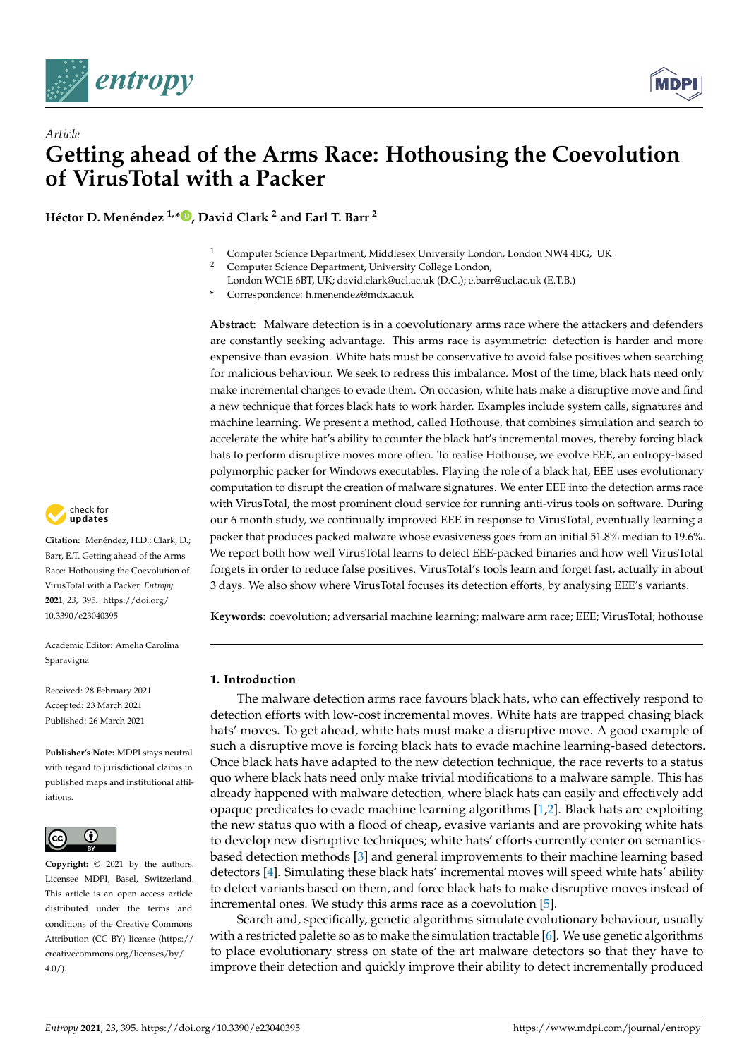

*Article*



# **Getting ahead of the Arms Race: Hothousing the Coevolution of VirusTotal with a Packer**

**Héctor D. Menéndez 1,\* [,](https://orcid.org/0000-0002-6314-3725) David Clark <sup>2</sup> and Earl T. Barr <sup>2</sup>**

- <sup>1</sup> Computer Science Department, Middlesex University London, London NW4 4BG, UK
	- <sup>2</sup> Computer Science Department, University College London,
- London WC1E 6BT, UK; david.clark@ucl.ac.uk (D.C.); e.barr@ucl.ac.uk (E.T.B.)
- **\*** Correspondence: h.menendez@mdx.ac.uk

**Abstract:** Malware detection is in a coevolutionary arms race where the attackers and defenders are constantly seeking advantage. This arms race is asymmetric: detection is harder and more expensive than evasion. White hats must be conservative to avoid false positives when searching for malicious behaviour. We seek to redress this imbalance. Most of the time, black hats need only make incremental changes to evade them. On occasion, white hats make a disruptive move and find a new technique that forces black hats to work harder. Examples include system calls, signatures and machine learning. We present a method, called Hothouse, that combines simulation and search to accelerate the white hat's ability to counter the black hat's incremental moves, thereby forcing black hats to perform disruptive moves more often. To realise Hothouse, we evolve EEE, an entropy-based polymorphic packer for Windows executables. Playing the role of a black hat, EEE uses evolutionary computation to disrupt the creation of malware signatures. We enter EEE into the detection arms race with VirusTotal, the most prominent cloud service for running anti-virus tools on software. During our 6 month study, we continually improved EEE in response to VirusTotal, eventually learning a packer that produces packed malware whose evasiveness goes from an initial 51.8% median to 19.6%. We report both how well VirusTotal learns to detect EEE-packed binaries and how well VirusTotal forgets in order to reduce false positives. VirusTotal's tools learn and forget fast, actually in about 3 days. We also show where VirusTotal focuses its detection efforts, by analysing EEE's variants.

**Keywords:** coevolution; adversarial machine learning; malware arm race; EEE; VirusTotal; hothouse

# **1. Introduction**

The malware detection arms race favours black hats, who can effectively respond to detection efforts with low-cost incremental moves. White hats are trapped chasing black hats' moves. To get ahead, white hats must make a disruptive move. A good example of such a disruptive move is forcing black hats to evade machine learning-based detectors. Once black hats have adapted to the new detection technique, the race reverts to a status quo where black hats need only make trivial modifications to a malware sample. This has already happened with malware detection, where black hats can easily and effectively add opaque predicates to evade machine learning algorithms [\[1,](#page-17-0)[2\]](#page-17-1). Black hats are exploiting the new status quo with a flood of cheap, evasive variants and are provoking white hats to develop new disruptive techniques; white hats' efforts currently center on semanticsbased detection methods [\[3\]](#page-17-2) and general improvements to their machine learning based detectors [\[4\]](#page-17-3). Simulating these black hats' incremental moves will speed white hats' ability to detect variants based on them, and force black hats to make disruptive moves instead of incremental ones. We study this arms race as a coevolution [\[5\]](#page-17-4).

Search and, specifically, genetic algorithms simulate evolutionary behaviour, usually with a restricted palette so as to make the simulation tractable [\[6\]](#page-17-5). We use genetic algorithms to place evolutionary stress on state of the art malware detectors so that they have to improve their detection and quickly improve their ability to detect incrementally produced



**Citation:** Menéndez, H.D.; Clark, D.; Barr, E.T. Getting ahead of the Arms Race: Hothousing the Coevolution of VirusTotal with a Packer. *Entropy* **2021**, *23*, 395. [https://doi.org/](https://doi.org/10.3390/e23040395) [10.3390/e23040395](https://doi.org/10.3390/e23040395)

Academic Editor: Amelia Carolina Sparavigna

Received: 28 February 2021 Accepted: 23 March 2021 Published: 26 March 2021

**Publisher's Note:** MDPI stays neutral with regard to jurisdictional claims in published maps and institutional affiliations.



**Copyright:** © 2021 by the authors. Licensee MDPI, Basel, Switzerland. This article is an open access article distributed under the terms and conditions of the Creative Commons Attribution (CC BY) license (https:/[/](https://creativecommons.org/licenses/by/4.0/) [creativecommons.org/licenses/by/](https://creativecommons.org/licenses/by/4.0/)  $4.0/$ ).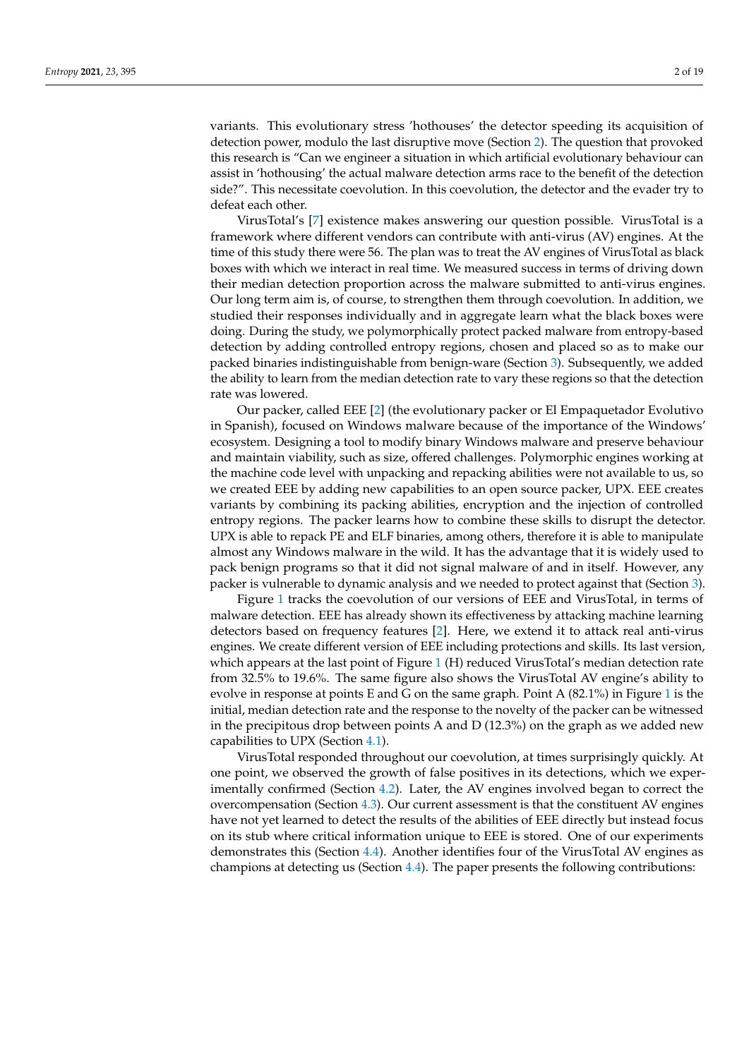variants. This evolutionary stress 'hothouses' the detector speeding its acquisition of detection power, modulo the last disruptive move (Section [2\)](#page-2-0). The question that provoked this research is "Can we engineer a situation in which artificial evolutionary behaviour can assist in 'hothousing' the actual malware detection arms race to the benefit of the detection side?". This necessitate coevolution. In this coevolution, the detector and the evader try to defeat each other.

VirusTotal's [\[7\]](#page-17-6) existence makes answering our question possible. VirusTotal is a framework where different vendors can contribute with anti-virus (AV) engines. At the time of this study there were 56. The plan was to treat the AV engines of VirusTotal as black boxes with which we interact in real time. We measured success in terms of driving down their median detection proportion across the malware submitted to anti-virus engines. Our long term aim is, of course, to strengthen them through coevolution. In addition, we studied their responses individually and in aggregate learn what the black boxes were doing. During the study, we polymorphically protect packed malware from entropy-based detection by adding controlled entropy regions, chosen and placed so as to make our packed binaries indistinguishable from benign-ware (Section [3\)](#page-3-0). Subsequently, we added the ability to learn from the median detection rate to vary these regions so that the detection rate was lowered.

Our packer, called EEE [\[2\]](#page-17-1) (the evolutionary packer or El Empaquetador Evolutivo in Spanish), focused on Windows malware because of the importance of the Windows' ecosystem. Designing a tool to modify binary Windows malware and preserve behaviour and maintain viability, such as size, offered challenges. Polymorphic engines working at the machine code level with unpacking and repacking abilities were not available to us, so we created EEE by adding new capabilities to an open source packer, UPX. EEE creates variants by combining its packing abilities, encryption and the injection of controlled entropy regions. The packer learns how to combine these skills to disrupt the detector. UPX is able to repack PE and ELF binaries, among others, therefore it is able to manipulate almost any Windows malware in the wild. It has the advantage that it is widely used to pack benign programs so that it did not signal malware of and in itself. However, any packer is vulnerable to dynamic analysis and we needed to protect against that (Section [3\)](#page-3-0).

Figure [1](#page-2-1) tracks the coevolution of our versions of EEE and VirusTotal, in terms of malware detection. EEE has already shown its effectiveness by attacking machine learning detectors based on frequency features [\[2\]](#page-17-1). Here, we extend it to attack real anti-virus engines. We create different version of EEE including protections and skills. Its last version, which appears at the last point of Figure [1](#page-2-1) (H) reduced VirusTotal's median detection rate from 32.5% to 19.6%. The same figure also shows the VirusTotal AV engine's ability to evolve in response at points E and G on the same graph. Point A (82.1%) in Figure [1](#page-2-1) is the initial, median detection rate and the response to the novelty of the packer can be witnessed in the precipitous drop between points A and D (12.3%) on the graph as we added new capabilities to UPX (Section [4.1\)](#page-7-0).

VirusTotal responded throughout our coevolution, at times surprisingly quickly. At one point, we observed the growth of false positives in its detections, which we experimentally confirmed (Section [4.2\)](#page-8-0). Later, the AV engines involved began to correct the overcompensation (Section [4.3\)](#page-9-0). Our current assessment is that the constituent AV engines have not yet learned to detect the results of the abilities of EEE directly but instead focus on its stub where critical information unique to EEE is stored. One of our experiments demonstrates this (Section [4.4\)](#page-11-0). Another identifies four of the VirusTotal AV engines as champions at detecting us (Section [4.4\)](#page-11-0). The paper presents the following contributions: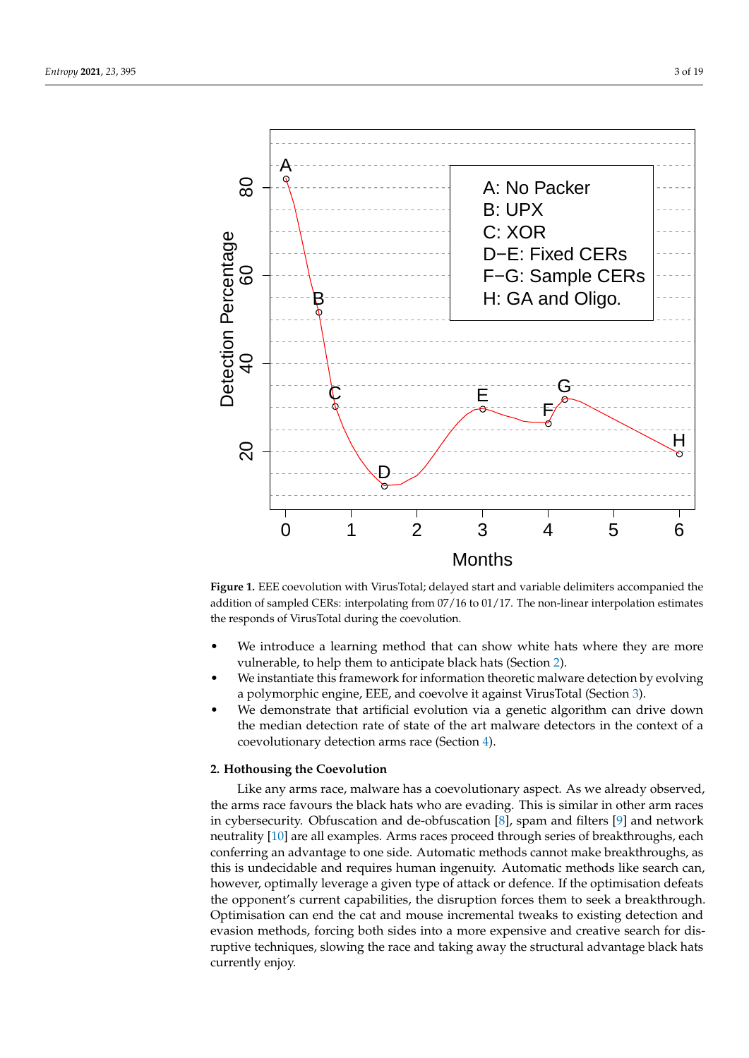<span id="page-2-1"></span>

**Figure 1.** EEE coevolution with VirusTotal; delayed start and variable delimiters accompanied the addition of sampled CERs: interpolating from 07/16 to 01/17. The non-linear interpolation estimates the responds of VirusTotal during the coevolution.

- We introduce a learning method that can show white hats where they are more vulnerable, to help them to anticipate black hats (Section [2\)](#page-2-0).
- We instantiate this framework for information theoretic malware detection by evolving a polymorphic engine, EEE, and coevolve it against VirusTotal (Section [3\)](#page-3-0).
- We demonstrate that artificial evolution via a genetic algorithm can drive down the median detection rate of state of the art malware detectors in the context of a coevolutionary detection arms race (Section [4\)](#page-6-0).

# <span id="page-2-0"></span>**2. Hothousing the Coevolution**

Like any arms race, malware has a coevolutionary aspect. As we already observed, the arms race favours the black hats who are evading. This is similar in other arm races in cybersecurity. Obfuscation and de-obfuscation [\[8\]](#page-17-7), spam and filters [\[9\]](#page-17-8) and network neutrality [\[10\]](#page-17-9) are all examples. Arms races proceed through series of breakthroughs, each conferring an advantage to one side. Automatic methods cannot make breakthroughs, as this is undecidable and requires human ingenuity. Automatic methods like search can, however, optimally leverage a given type of attack or defence. If the optimisation defeats the opponent's current capabilities, the disruption forces them to seek a breakthrough. Optimisation can end the cat and mouse incremental tweaks to existing detection and evasion methods, forcing both sides into a more expensive and creative search for disruptive techniques, slowing the race and taking away the structural advantage black hats currently enjoy.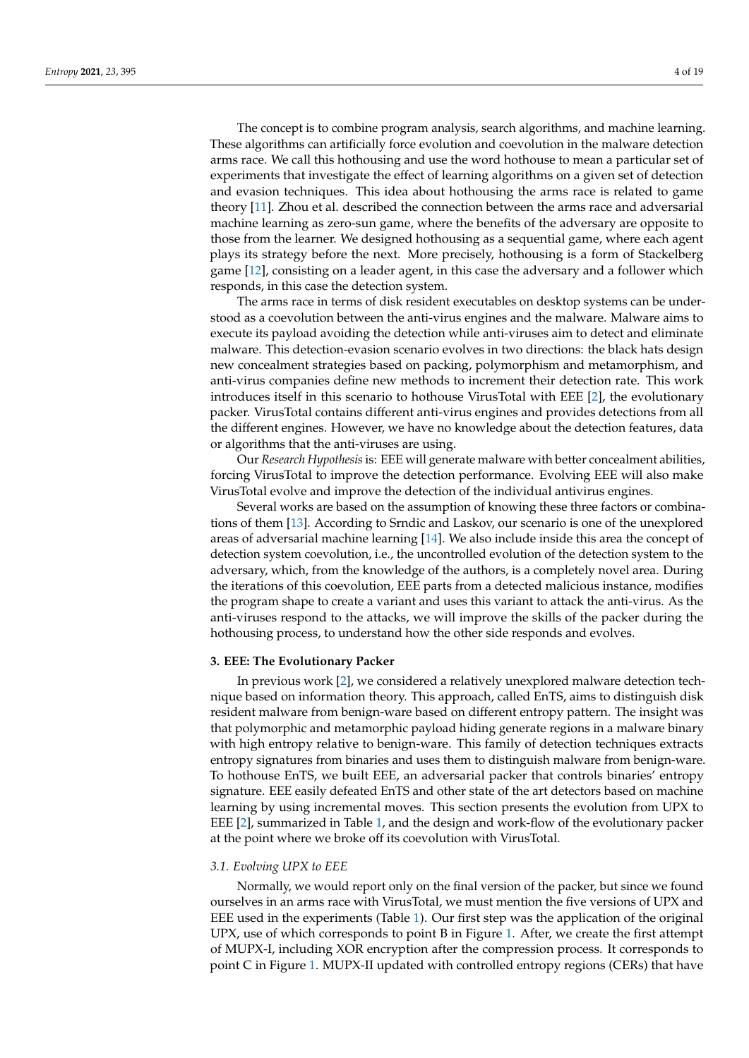The concept is to combine program analysis, search algorithms, and machine learning. These algorithms can artificially force evolution and coevolution in the malware detection arms race. We call this hothousing and use the word hothouse to mean a particular set of experiments that investigate the effect of learning algorithms on a given set of detection and evasion techniques. This idea about hothousing the arms race is related to game theory [\[11\]](#page-17-10). Zhou et al. described the connection between the arms race and adversarial machine learning as zero-sun game, where the benefits of the adversary are opposite to those from the learner. We designed hothousing as a sequential game, where each agent plays its strategy before the next. More precisely, hothousing is a form of Stackelberg game [\[12\]](#page-17-11), consisting on a leader agent, in this case the adversary and a follower which responds, in this case the detection system.

The arms race in terms of disk resident executables on desktop systems can be understood as a coevolution between the anti-virus engines and the malware. Malware aims to execute its payload avoiding the detection while anti-viruses aim to detect and eliminate malware. This detection-evasion scenario evolves in two directions: the black hats design new concealment strategies based on packing, polymorphism and metamorphism, and anti-virus companies define new methods to increment their detection rate. This work introduces itself in this scenario to hothouse VirusTotal with EEE [\[2\]](#page-17-1), the evolutionary packer. VirusTotal contains different anti-virus engines and provides detections from all the different engines. However, we have no knowledge about the detection features, data or algorithms that the anti-viruses are using.

Our *Research Hypothesis* is: EEE will generate malware with better concealment abilities, forcing VirusTotal to improve the detection performance. Evolving EEE will also make VirusTotal evolve and improve the detection of the individual antivirus engines.

Several works are based on the assumption of knowing these three factors or combinations of them [\[13\]](#page-17-12). According to Srndic and Laskov, our scenario is one of the unexplored areas of adversarial machine learning [\[14\]](#page-17-13). We also include inside this area the concept of detection system coevolution, i.e., the uncontrolled evolution of the detection system to the adversary, which, from the knowledge of the authors, is a completely novel area. During the iterations of this coevolution, EEE parts from a detected malicious instance, modifies the program shape to create a variant and uses this variant to attack the anti-virus. As the anti-viruses respond to the attacks, we will improve the skills of the packer during the hothousing process, to understand how the other side responds and evolves.

## <span id="page-3-0"></span>**3. EEE: The Evolutionary Packer**

In previous work [\[2\]](#page-17-1), we considered a relatively unexplored malware detection technique based on information theory. This approach, called EnTS, aims to distinguish disk resident malware from benign-ware based on different entropy pattern. The insight was that polymorphic and metamorphic payload hiding generate regions in a malware binary with high entropy relative to benign-ware. This family of detection techniques extracts entropy signatures from binaries and uses them to distinguish malware from benign-ware. To hothouse EnTS, we built EEE, an adversarial packer that controls binaries' entropy signature. EEE easily defeated EnTS and other state of the art detectors based on machine learning by using incremental moves. This section presents the evolution from UPX to EEE [\[2\]](#page-17-1), summarized in Table [1,](#page-4-0) and the design and work-flow of the evolutionary packer at the point where we broke off its coevolution with VirusTotal.

## *3.1. Evolving UPX to EEE*

Normally, we would report only on the final version of the packer, but since we found ourselves in an arms race with VirusTotal, we must mention the five versions of UPX and EEE used in the experiments (Table [1\)](#page-4-0). Our first step was the application of the original UPX, use of which corresponds to point B in Figure [1.](#page-2-1) After, we create the first attempt of MUPX-I, including XOR encryption after the compression process. It corresponds to point C in Figure [1.](#page-2-1) MUPX-II updated with controlled entropy regions (CERs) that have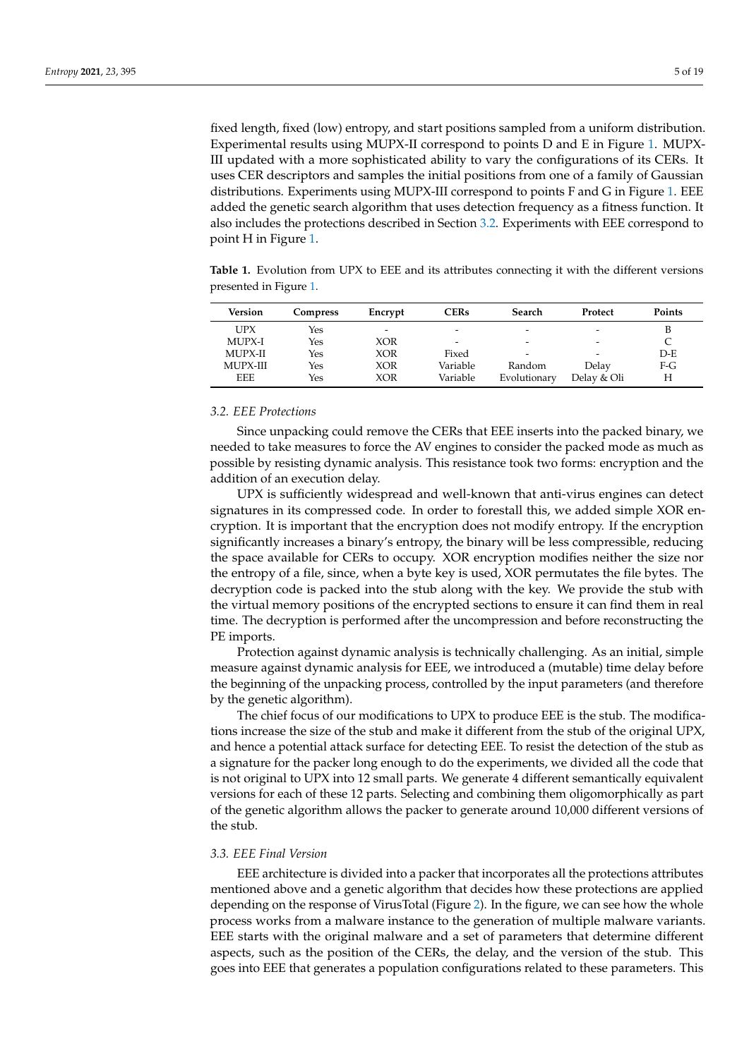fixed length, fixed (low) entropy, and start positions sampled from a uniform distribution. Experimental results using MUPX-II correspond to points D and E in Figure [1.](#page-2-1) MUPX-III updated with a more sophisticated ability to vary the configurations of its CERs. It uses CER descriptors and samples the initial positions from one of a family of Gaussian distributions. Experiments using MUPX-III correspond to points F and G in Figure [1.](#page-2-1) EEE added the genetic search algorithm that uses detection frequency as a fitness function. It also includes the protections described in Section [3.2.](#page-4-1) Experiments with EEE correspond to point H in Figure [1.](#page-2-1)

<span id="page-4-0"></span>**Table 1.** Evolution from UPX to EEE and its attributes connecting it with the different versions presented in Figure [1.](#page-2-1)

| Version    | <b>Compress</b> | Encrypt                  | <b>CERs</b> | Search       | Protect                  | <b>Points</b> |
|------------|-----------------|--------------------------|-------------|--------------|--------------------------|---------------|
| <b>UPX</b> | Yes             | $\overline{\phantom{0}}$ | -           |              | ۰                        |               |
| MUPX-I     | Yes             | XOR                      | -           |              | -                        |               |
| MUPX-II    | Yes             | XOR                      | Fixed       | -            | $\overline{\phantom{0}}$ | $D-F$         |
| MUPX-III   | Yes             | XOR                      | Variable    | Random       | Delay                    | $F-G$         |
| <b>EEE</b> | Yes             | <b>XOR</b>               | Variable    | Evolutionary | Delay & Oli              | Н             |

## <span id="page-4-1"></span>*3.2. EEE Protections*

Since unpacking could remove the CERs that EEE inserts into the packed binary, we needed to take measures to force the AV engines to consider the packed mode as much as possible by resisting dynamic analysis. This resistance took two forms: encryption and the addition of an execution delay.

UPX is sufficiently widespread and well-known that anti-virus engines can detect signatures in its compressed code. In order to forestall this, we added simple XOR encryption. It is important that the encryption does not modify entropy. If the encryption significantly increases a binary's entropy, the binary will be less compressible, reducing the space available for CERs to occupy. XOR encryption modifies neither the size nor the entropy of a file, since, when a byte key is used, XOR permutates the file bytes. The decryption code is packed into the stub along with the key. We provide the stub with the virtual memory positions of the encrypted sections to ensure it can find them in real time. The decryption is performed after the uncompression and before reconstructing the PE imports.

Protection against dynamic analysis is technically challenging. As an initial, simple measure against dynamic analysis for EEE, we introduced a (mutable) time delay before the beginning of the unpacking process, controlled by the input parameters (and therefore by the genetic algorithm).

The chief focus of our modifications to UPX to produce EEE is the stub. The modifications increase the size of the stub and make it different from the stub of the original UPX, and hence a potential attack surface for detecting EEE. To resist the detection of the stub as a signature for the packer long enough to do the experiments, we divided all the code that is not original to UPX into 12 small parts. We generate 4 different semantically equivalent versions for each of these 12 parts. Selecting and combining them oligomorphically as part of the genetic algorithm allows the packer to generate around 10,000 different versions of the stub.

# *3.3. EEE Final Version*

EEE architecture is divided into a packer that incorporates all the protections attributes mentioned above and a genetic algorithm that decides how these protections are applied depending on the response of VirusTotal (Figure [2\)](#page-5-0). In the figure, we can see how the whole process works from a malware instance to the generation of multiple malware variants. EEE starts with the original malware and a set of parameters that determine different aspects, such as the position of the CERs, the delay, and the version of the stub. This goes into EEE that generates a population configurations related to these parameters. This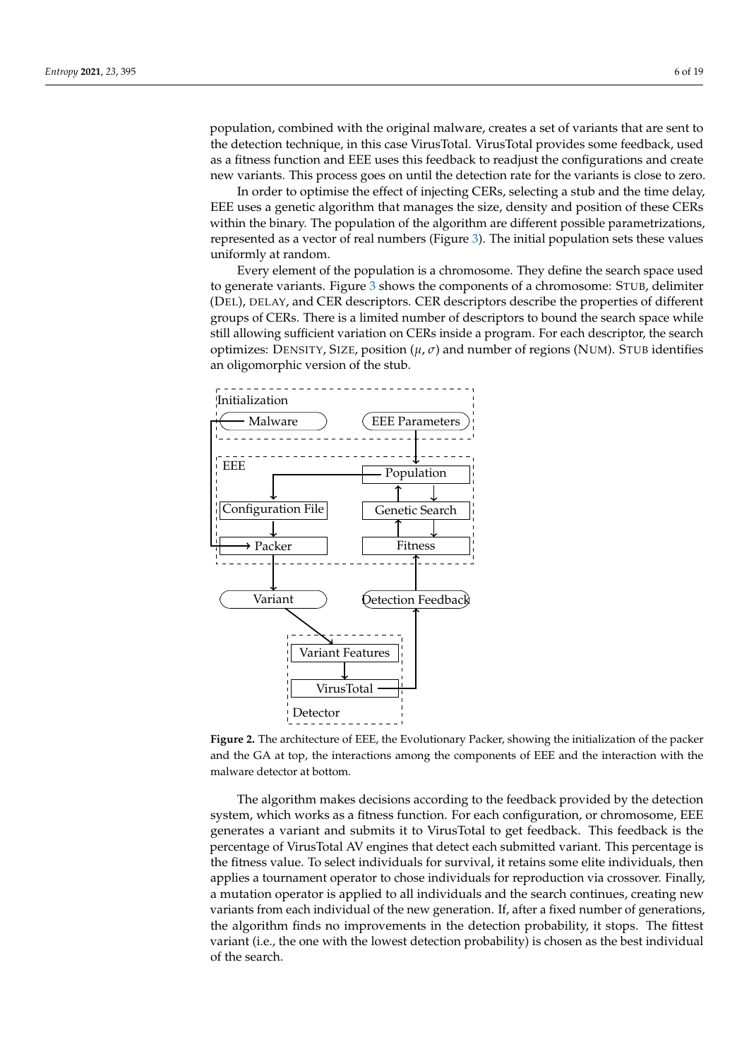population, combined with the original malware, creates a set of variants that are sent to the detection technique, in this case VirusTotal. VirusTotal provides some feedback, used as a fitness function and EEE uses this feedback to readjust the configurations and create new variants. This process goes on until the detection rate for the variants is close to zero.

In order to optimise the effect of injecting CERs, selecting a stub and the time delay, EEE uses a genetic algorithm that manages the size, density and position of these CERs within the binary. The population of the algorithm are different possible parametrizations, represented as a vector of real numbers (Figure [3\)](#page-6-1). The initial population sets these values uniformly at random.

Every element of the population is a chromosome. They define the search space used to generate variants. Figure [3](#page-6-1) shows the components of a chromosome: STUB, delimiter (DEL), DELAY, and CER descriptors. CER descriptors describe the properties of different groups of CERs. There is a limited number of descriptors to bound the search space while still allowing sufficient variation on CERs inside a program. For each descriptor, the search optimizes: DENSITY, SIZE, position  $(\mu, \sigma)$  and number of regions (NUM). STUB identifies an oligomorphic version of the stub.

<span id="page-5-0"></span>

**Figure 2.** The architecture of EEE, the Evolutionary Packer, showing the initialization of the packer and the GA at top, the interactions among the components of EEE and the interaction with the malware detector at bottom.

The algorithm makes decisions according to the feedback provided by the detection system, which works as a fitness function. For each configuration, or chromosome, EEE generates a variant and submits it to VirusTotal to get feedback. This feedback is the percentage of VirusTotal AV engines that detect each submitted variant. This percentage is the fitness value. To select individuals for survival, it retains some elite individuals, then applies a tournament operator to chose individuals for reproduction via crossover. Finally, a mutation operator is applied to all individuals and the search continues, creating new variants from each individual of the new generation. If, after a fixed number of generations, the algorithm finds no improvements in the detection probability, it stops. The fittest variant (i.e., the one with the lowest detection probability) is chosen as the best individual of the search.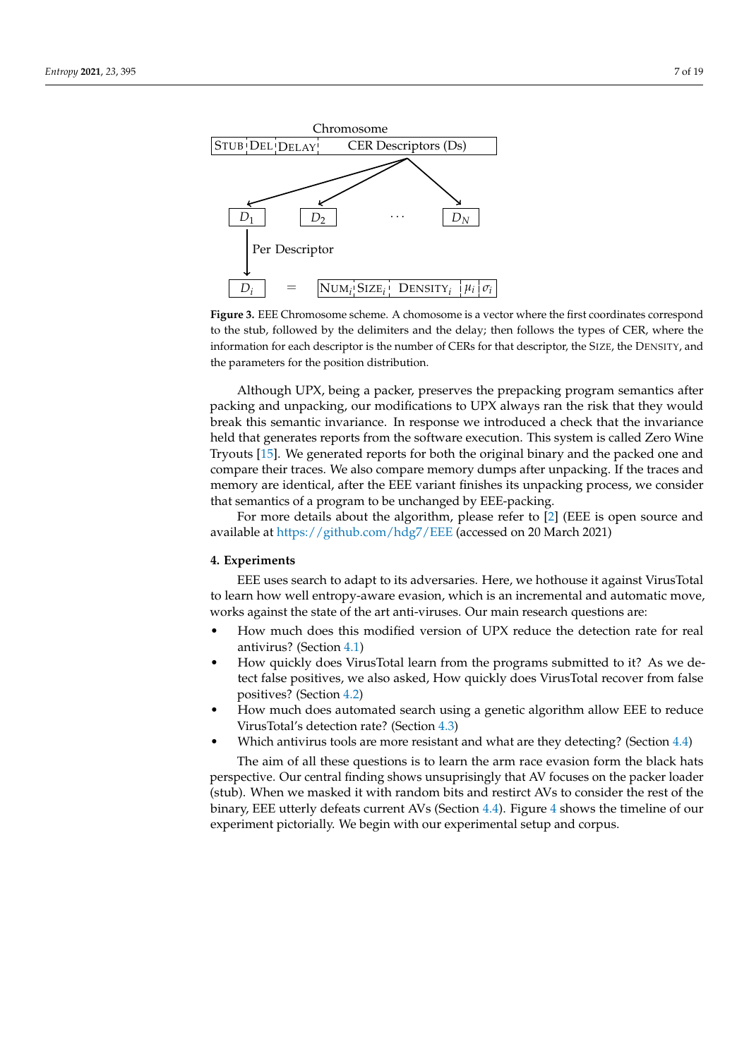<span id="page-6-1"></span>

**Figure 3.** EEE Chromosome scheme. A chomosome is a vector where the first coordinates correspond to the stub, followed by the delimiters and the delay; then follows the types of CER, where the information for each descriptor is the number of CERs for that descriptor, the SIZE, the DENSITY, and the parameters for the position distribution.

Although UPX, being a packer, preserves the prepacking program semantics after packing and unpacking, our modifications to UPX always ran the risk that they would break this semantic invariance. In response we introduced a check that the invariance held that generates reports from the software execution. This system is called Zero Wine Tryouts [\[15\]](#page-17-14). We generated reports for both the original binary and the packed one and compare their traces. We also compare memory dumps after unpacking. If the traces and memory are identical, after the EEE variant finishes its unpacking process, we consider that semantics of a program to be unchanged by EEE-packing.

For more details about the algorithm, please refer to [\[2\]](#page-17-1) (EEE is open source and available at <https://github.com/hdg7/EEE> (accessed on 20 March 2021)

## <span id="page-6-0"></span>**4. Experiments**

EEE uses search to adapt to its adversaries. Here, we hothouse it against VirusTotal to learn how well entropy-aware evasion, which is an incremental and automatic move, works against the state of the art anti-viruses. Our main research questions are:

- How much does this modified version of UPX reduce the detection rate for real antivirus? (Section [4.1\)](#page-7-0)
- How quickly does VirusTotal learn from the programs submitted to it? As we detect false positives, we also asked, How quickly does VirusTotal recover from false positives? (Section [4.2\)](#page-8-0)
- How much does automated search using a genetic algorithm allow EEE to reduce VirusTotal's detection rate? (Section [4.3\)](#page-9-0)
	- Which antivirus tools are more resistant and what are they detecting? (Section [4.4\)](#page-11-0)

The aim of all these questions is to learn the arm race evasion form the black hats perspective. Our central finding shows unsuprisingly that AV focuses on the packer loader (stub). When we masked it with random bits and restirct AVs to consider the rest of the binary, EEE utterly defeats current AVs (Section [4.4\)](#page-11-0). Figure [4](#page-7-1) shows the timeline of our experiment pictorially. We begin with our experimental setup and corpus.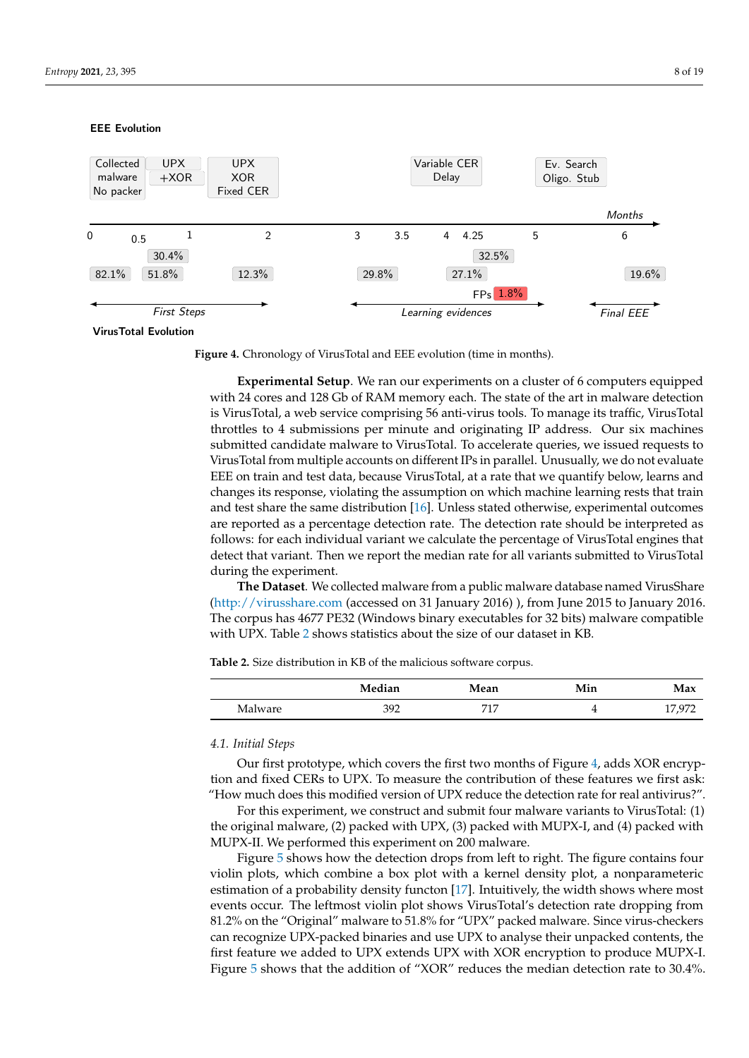## <span id="page-7-1"></span>EEE Evolution



VirusTotal Evolution

**Figure 4.** Chronology of VirusTotal and EEE evolution (time in months).

**Experimental Setup**. We ran our experiments on a cluster of 6 computers equipped with 24 cores and 128 Gb of RAM memory each. The state of the art in malware detection is VirusTotal, a web service comprising 56 anti-virus tools. To manage its traffic, VirusTotal throttles to 4 submissions per minute and originating IP address. Our six machines submitted candidate malware to VirusTotal. To accelerate queries, we issued requests to VirusTotal from multiple accounts on different IPs in parallel. Unusually, we do not evaluate EEE on train and test data, because VirusTotal, at a rate that we quantify below, learns and changes its response, violating the assumption on which machine learning rests that train and test share the same distribution [\[16\]](#page-17-15). Unless stated otherwise, experimental outcomes are reported as a percentage detection rate. The detection rate should be interpreted as follows: for each individual variant we calculate the percentage of VirusTotal engines that detect that variant. Then we report the median rate for all variants submitted to VirusTotal during the experiment.

**The Dataset**. We collected malware from a public malware database named VirusShare [\(http://virusshare.com](http://virusshare.com) (accessed on 31 January 2016) ), from June 2015 to January 2016. The corpus has 4677 PE32 (Windows binary executables for 32 bits) malware compatible with UPX. Table [2](#page-7-2) shows statistics about the size of our dataset in KB.

<span id="page-7-2"></span>**Table 2.** Size distribution in KB of the malicious software corpus.

|         | Median | Mean | Min      | Max   |
|---------|--------|------|----------|-------|
| Malware | 392    | 717  | <b>.</b> | . a71 |

## <span id="page-7-0"></span>*4.1. Initial Steps*

Our first prototype, which covers the first two months of Figure [4,](#page-7-1) adds XOR encryption and fixed CERs to UPX. To measure the contribution of these features we first ask: "How much does this modified version of UPX reduce the detection rate for real antivirus?".

For this experiment, we construct and submit four malware variants to VirusTotal: (1) the original malware, (2) packed with UPX, (3) packed with MUPX-I, and (4) packed with MUPX-II. We performed this experiment on 200 malware.

Figure [5](#page-8-1) shows how the detection drops from left to right. The figure contains four violin plots, which combine a box plot with a kernel density plot, a nonparameteric estimation of a probability density functon [\[17\]](#page-17-16). Intuitively, the width shows where most events occur. The leftmost violin plot shows VirusTotal's detection rate dropping from 81.2% on the "Original" malware to 51.8% for "UPX" packed malware. Since virus-checkers can recognize UPX-packed binaries and use UPX to analyse their unpacked contents, the first feature we added to UPX extends UPX with XOR encryption to produce MUPX-I. Figure [5](#page-8-1) shows that the addition of "XOR" reduces the median detection rate to 30.4%.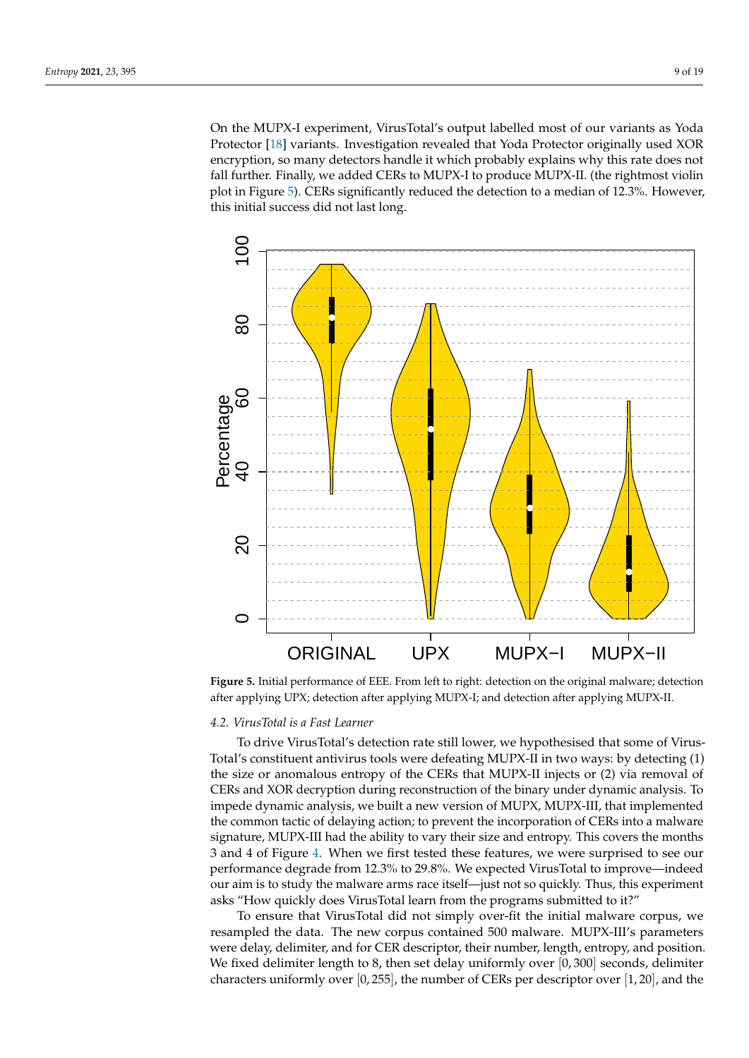On the MUPX-I experiment, VirusTotal's output labelled most of our variants as Yoda Protector [\[18\]](#page-17-17) variants. Investigation revealed that Yoda Protector originally used XOR encryption, so many detectors handle it which probably explains why this rate does not fall further. Finally, we added CERs to MUPX-I to produce MUPX-II. (the rightmost violin plot in Figure [5\)](#page-8-1). CERs significantly reduced the detection to a median of 12.3%. However, this initial success did not last long.

<span id="page-8-1"></span>

**Figure 5.** Initial performance of EEE. From left to right: detection on the original malware; detection after applying UPX; detection after applying MUPX-I; and detection after applying MUPX-II.

# <span id="page-8-0"></span>*4.2. VirusTotal is a Fast Learner*

To drive VirusTotal's detection rate still lower, we hypothesised that some of Virus-Total's constituent antivirus tools were defeating MUPX-II in two ways: by detecting (1) the size or anomalous entropy of the CERs that MUPX-II injects or (2) via removal of CERs and XOR decryption during reconstruction of the binary under dynamic analysis. To impede dynamic analysis, we built a new version of MUPX, MUPX-III, that implemented the common tactic of delaying action; to prevent the incorporation of CERs into a malware signature, MUPX-III had the ability to vary their size and entropy. This covers the months 3 and 4 of Figure [4.](#page-7-1) When we first tested these features, we were surprised to see our performance degrade from 12.3% to 29.8%. We expected VirusTotal to improve—indeed our aim is to study the malware arms race itself—just not so quickly. Thus, this experiment asks "How quickly does VirusTotal learn from the programs submitted to it?"

To ensure that VirusTotal did not simply over-fit the initial malware corpus, we resampled the data. The new corpus contained 500 malware. MUPX-III's parameters were delay, delimiter, and for CER descriptor, their number, length, entropy, and position. We fixed delimiter length to 8, then set delay uniformly over  $[0, 300]$  seconds, delimiter characters uniformly over  $[0, 255]$ , the number of CERs per descriptor over  $[1, 20]$ , and the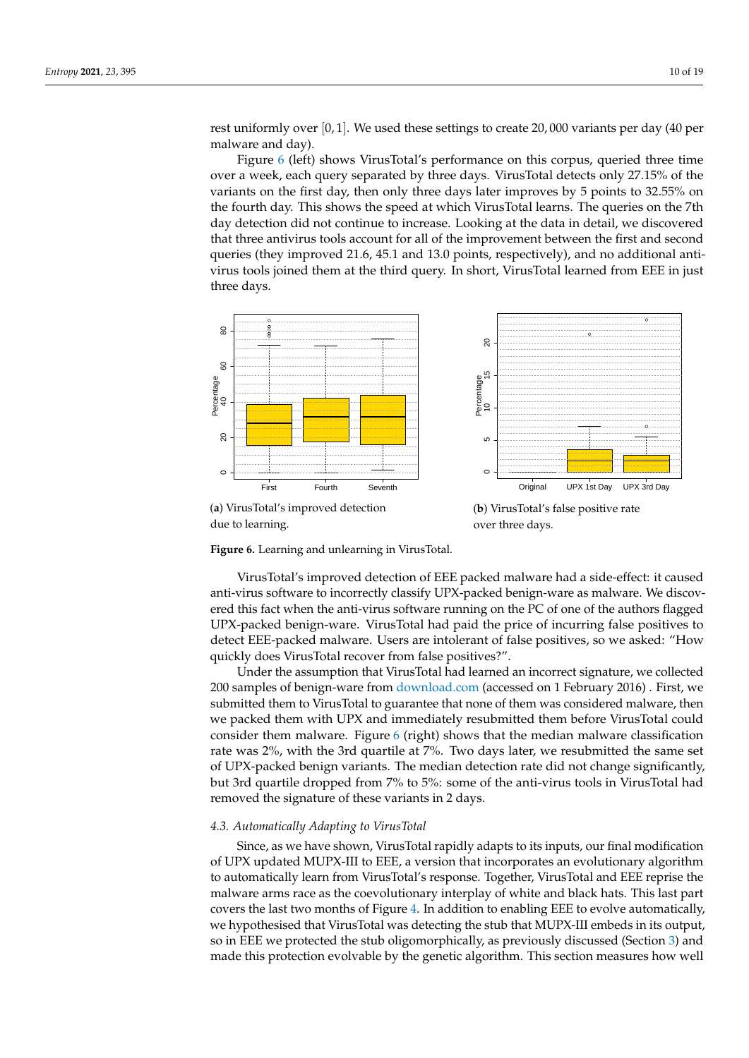rest uniformly over [0, 1]. We used these settings to create 20, 000 variants per day (40 per malware and day).

Figure [6](#page-9-1) (left) shows VirusTotal's performance on this corpus, queried three time over a week, each query separated by three days. VirusTotal detects only 27.15% of the variants on the first day, then only three days later improves by 5 points to 32.55% on the fourth day. This shows the speed at which VirusTotal learns. The queries on the 7th day detection did not continue to increase. Looking at the data in detail, we discovered that three antivirus tools account for all of the improvement between the first and second queries (they improved 21.6, 45.1 and 13.0 points, respectively), and no additional antivirus tools joined them at the third query. In short, VirusTotal learned from EEE in just three days.

<span id="page-9-1"></span>

over three days.

**Figure 6.** Learning and unlearning in VirusTotal.

VirusTotal's improved detection of EEE packed malware had a side-effect: it caused anti-virus software to incorrectly classify UPX-packed benign-ware as malware. We discovered this fact when the anti-virus software running on the PC of one of the authors flagged UPX-packed benign-ware. VirusTotal had paid the price of incurring false positives to detect EEE-packed malware. Users are intolerant of false positives, so we asked: "How quickly does VirusTotal recover from false positives?".

Under the assumption that VirusTotal had learned an incorrect signature, we collected 200 samples of benign-ware from <download.com> (accessed on 1 February 2016) . First, we submitted them to VirusTotal to guarantee that none of them was considered malware, then we packed them with UPX and immediately resubmitted them before VirusTotal could consider them malware. Figure [6](#page-9-1) (right) shows that the median malware classification rate was 2%, with the 3rd quartile at 7%. Two days later, we resubmitted the same set of UPX-packed benign variants. The median detection rate did not change significantly, but 3rd quartile dropped from 7% to 5%: some of the anti-virus tools in VirusTotal had removed the signature of these variants in 2 days.

## <span id="page-9-0"></span>*4.3. Automatically Adapting to VirusTotal*

Since, as we have shown, VirusTotal rapidly adapts to its inputs, our final modification of UPX updated MUPX-III to EEE, a version that incorporates an evolutionary algorithm to automatically learn from VirusTotal's response. Together, VirusTotal and EEE reprise the malware arms race as the coevolutionary interplay of white and black hats. This last part covers the last two months of Figure [4.](#page-7-1) In addition to enabling EEE to evolve automatically, we hypothesised that VirusTotal was detecting the stub that MUPX-III embeds in its output, so in EEE we protected the stub oligomorphically, as previously discussed (Section [3\)](#page-3-0) and made this protection evolvable by the genetic algorithm. This section measures how well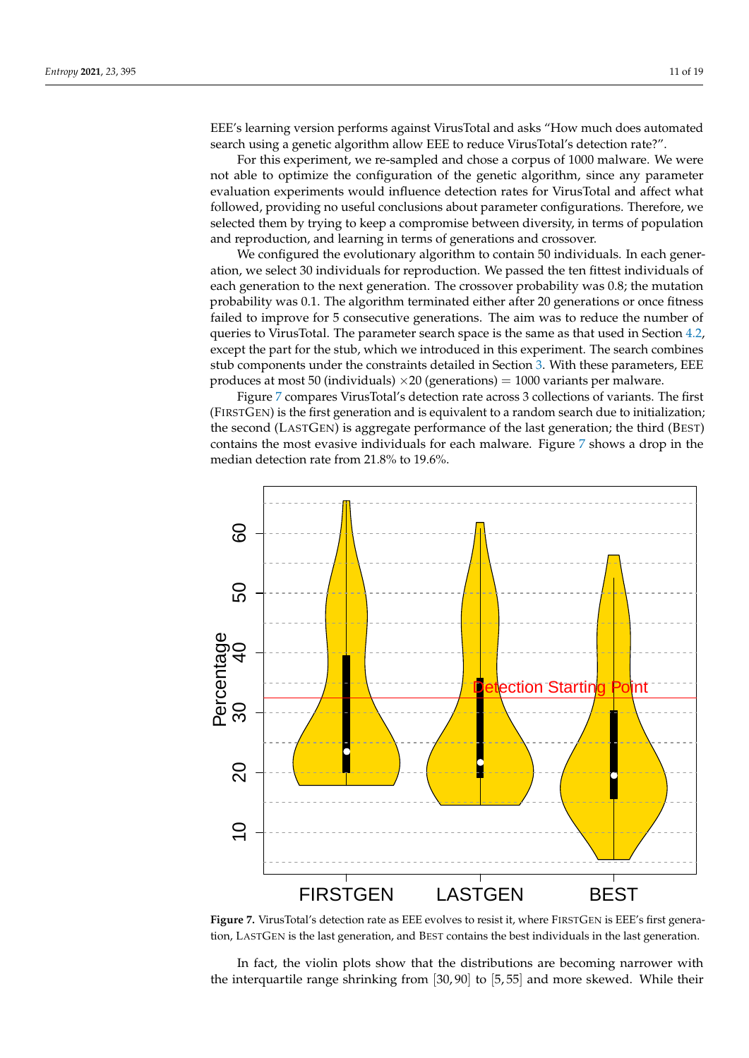EEE's learning version performs against VirusTotal and asks "How much does automated search using a genetic algorithm allow EEE to reduce VirusTotal's detection rate?".

For this experiment, we re-sampled and chose a corpus of 1000 malware. We were not able to optimize the configuration of the genetic algorithm, since any parameter evaluation experiments would influence detection rates for VirusTotal and affect what followed, providing no useful conclusions about parameter configurations. Therefore, we selected them by trying to keep a compromise between diversity, in terms of population and reproduction, and learning in terms of generations and crossover.

We configured the evolutionary algorithm to contain 50 individuals. In each generation, we select 30 individuals for reproduction. We passed the ten fittest individuals of each generation to the next generation. The crossover probability was 0.8; the mutation probability was 0.1. The algorithm terminated either after 20 generations or once fitness failed to improve for 5 consecutive generations. The aim was to reduce the number of queries to VirusTotal. The parameter search space is the same as that used in Section [4.2,](#page-8-0) except the part for the stub, which we introduced in this experiment. The search combines stub components under the constraints detailed in Section [3.](#page-3-0) With these parameters, EEE produces at most 50 (individuals)  $\times 20$  (generations) = 1000 variants per malware.

Figure [7](#page-10-0) compares VirusTotal's detection rate across 3 collections of variants. The first (FIRSTGEN) is the first generation and is equivalent to a random search due to initialization; the second (LASTGEN) is aggregate performance of the last generation; the third (BEST) contains the most evasive individuals for each malware. Figure [7](#page-10-0) shows a drop in the median detection rate from 21.8% to 19.6%.

<span id="page-10-0"></span>

Figure 7. VirusTotal's detection rate as EEE evolves to resist it, where FIRSTGEN is EEE's first generation, LASTGEN is the last generation, and BEST contains the best individuals in the last generation.

In fact, the violin plots show that the distributions are becoming narrower with the interquartile range shrinking from [30, 90] to [5, 55] and more skewed. While their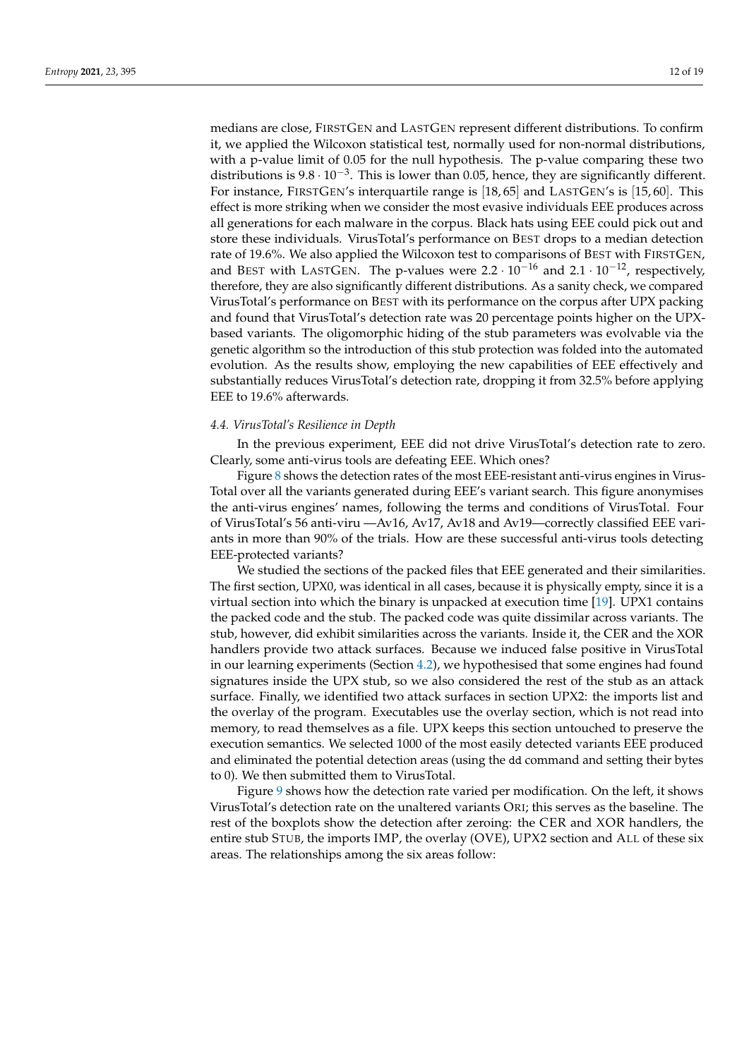medians are close, FIRSTGEN and LASTGEN represent different distributions. To confirm it, we applied the Wilcoxon statistical test, normally used for non-normal distributions, with a p-value limit of 0.05 for the null hypothesis. The p-value comparing these two distributions is  $9.8 \cdot 10^{-3}$ . This is lower than 0.05, hence, they are significantly different. For instance, FIRSTGEN's interquartile range is [18, 65] and LASTGEN's is [15, 60]. This effect is more striking when we consider the most evasive individuals EEE produces across all generations for each malware in the corpus. Black hats using EEE could pick out and store these individuals. VirusTotal's performance on BEST drops to a median detection rate of 19.6%. We also applied the Wilcoxon test to comparisons of BEST with FIRSTGEN, and BEST with LASTGEN. The p-values were  $2.2 \cdot 10^{-16}$  and  $2.1 \cdot 10^{-12}$ , respectively, therefore, they are also significantly different distributions. As a sanity check, we compared VirusTotal's performance on BEST with its performance on the corpus after UPX packing and found that VirusTotal's detection rate was 20 percentage points higher on the UPXbased variants. The oligomorphic hiding of the stub parameters was evolvable via the genetic algorithm so the introduction of this stub protection was folded into the automated evolution. As the results show, employing the new capabilities of EEE effectively and substantially reduces VirusTotal's detection rate, dropping it from 32.5% before applying EEE to 19.6% afterwards.

## <span id="page-11-0"></span>*4.4. VirusTotal's Resilience in Depth*

In the previous experiment, EEE did not drive VirusTotal's detection rate to zero. Clearly, some anti-virus tools are defeating EEE. Which ones?

Figure [8](#page-12-0) shows the detection rates of the most EEE-resistant anti-virus engines in Virus-Total over all the variants generated during EEE's variant search. This figure anonymises the anti-virus engines' names, following the terms and conditions of VirusTotal. Four of VirusTotal's 56 anti-viru —Av16, Av17, Av18 and Av19—correctly classified EEE variants in more than 90% of the trials. How are these successful anti-virus tools detecting EEE-protected variants?

We studied the sections of the packed files that EEE generated and their similarities. The first section, UPX0, was identical in all cases, because it is physically empty, since it is a virtual section into which the binary is unpacked at execution time [\[19\]](#page-17-18). UPX1 contains the packed code and the stub. The packed code was quite dissimilar across variants. The stub, however, did exhibit similarities across the variants. Inside it, the CER and the XOR handlers provide two attack surfaces. Because we induced false positive in VirusTotal in our learning experiments (Section [4.2\)](#page-8-0), we hypothesised that some engines had found signatures inside the UPX stub, so we also considered the rest of the stub as an attack surface. Finally, we identified two attack surfaces in section UPX2: the imports list and the overlay of the program. Executables use the overlay section, which is not read into memory, to read themselves as a file. UPX keeps this section untouched to preserve the execution semantics. We selected 1000 of the most easily detected variants EEE produced and eliminated the potential detection areas (using the dd command and setting their bytes to 0). We then submitted them to VirusTotal.

Figure [9](#page-13-0) shows how the detection rate varied per modification. On the left, it shows VirusTotal's detection rate on the unaltered variants ORI; this serves as the baseline. The rest of the boxplots show the detection after zeroing: the CER and XOR handlers, the entire stub STUB, the imports IMP, the overlay (OVE), UPX2 section and ALL of these six areas. The relationships among the six areas follow: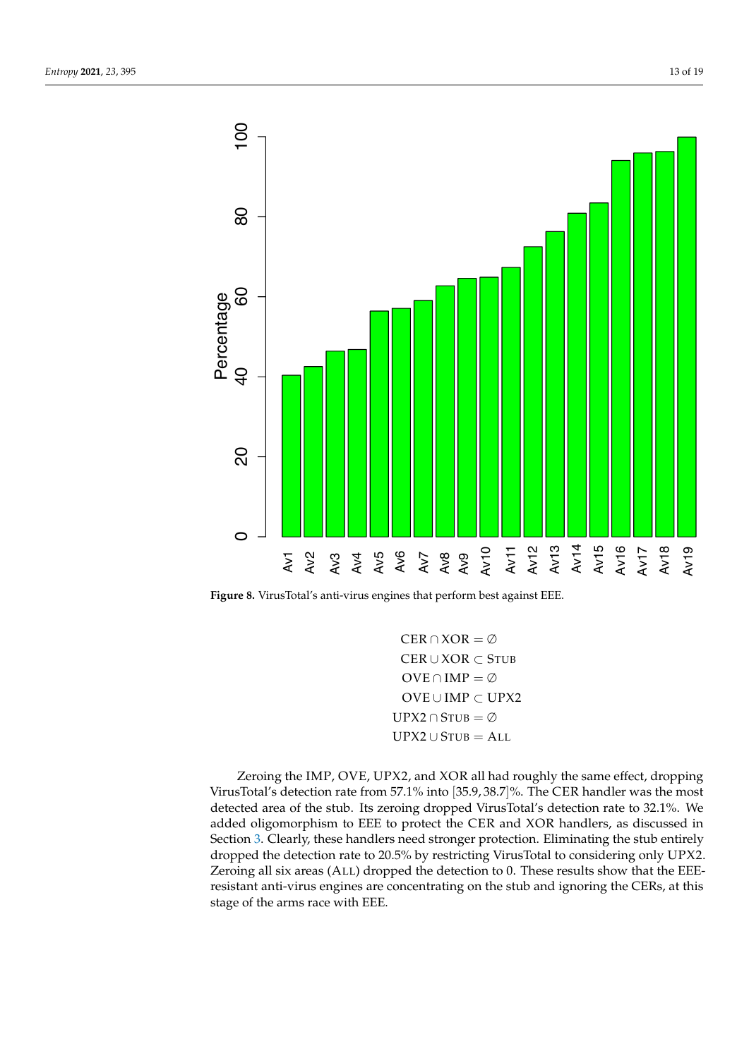<span id="page-12-0"></span>

**Figure 8.** VirusTotal's anti-virus engines that perform best against EEE.

 $CER \cap XOR = \emptyset$ CER ∪ XOR ⊂ STUB  $OVE \cap IMP = \emptyset$ OVE ∪ IMP ⊂ UPX2  $UPX2 \cap STUB = \emptyset$  $UPX2 \cup STUB = ALL$ 

Zeroing the IMP, OVE, UPX2, and XOR all had roughly the same effect, dropping VirusTotal's detection rate from 57.1% into [35.9, 38.7]%. The CER handler was the most detected area of the stub. Its zeroing dropped VirusTotal's detection rate to 32.1%. We added oligomorphism to EEE to protect the CER and XOR handlers, as discussed in Section [3.](#page-3-0) Clearly, these handlers need stronger protection. Eliminating the stub entirely dropped the detection rate to 20.5% by restricting VirusTotal to considering only UPX2. Zeroing all six areas (ALL) dropped the detection to 0. These results show that the EEEresistant anti-virus engines are concentrating on the stub and ignoring the CERs, at this stage of the arms race with EEE.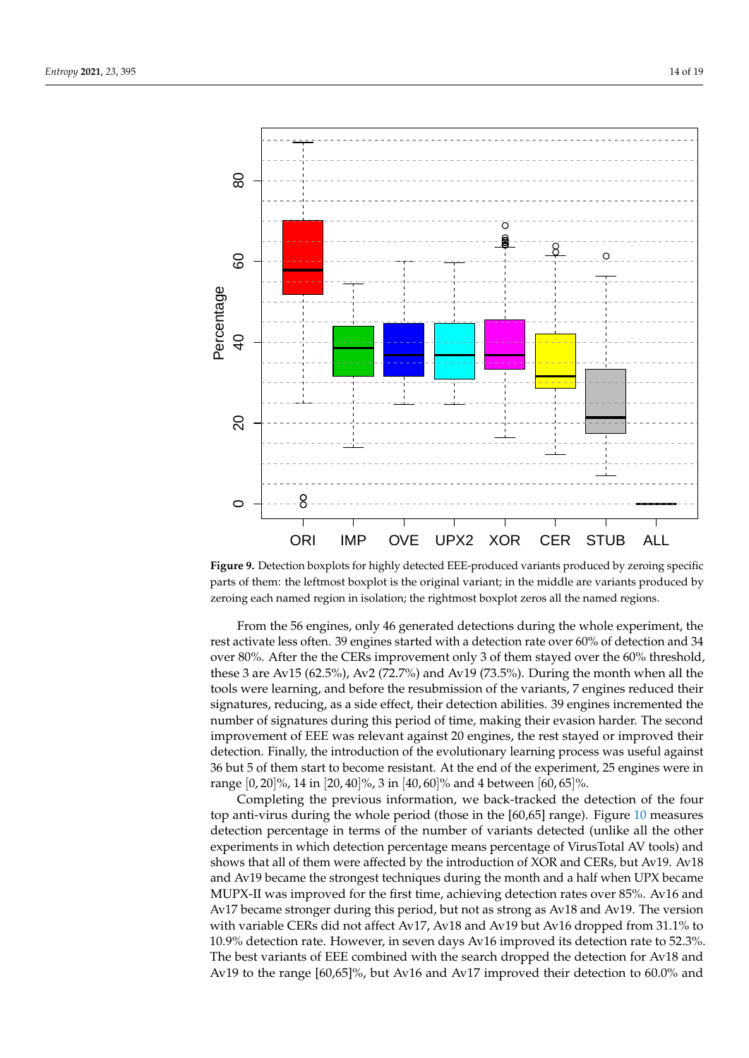<span id="page-13-0"></span>

**Figure 9.** Detection boxplots for highly detected EEE-produced variants produced by zeroing specific parts of them: the leftmost boxplot is the original variant; in the middle are variants produced by zeroing each named region in isolation; the rightmost boxplot zeros all the named regions.

From the 56 engines, only 46 generated detections during the whole experiment, the rest activate less often. 39 engines started with a detection rate over 60% of detection and 34 over 80%. After the the CERs improvement only 3 of them stayed over the 60% threshold, these 3 are Av15 (62.5%), Av2 (72.7%) and Av19 (73.5%). During the month when all the tools were learning, and before the resubmission of the variants, 7 engines reduced their signatures, reducing, as a side effect, their detection abilities. 39 engines incremented the number of signatures during this period of time, making their evasion harder. The second improvement of EEE was relevant against 20 engines, the rest stayed or improved their detection. Finally, the introduction of the evolutionary learning process was useful against 36 but 5 of them start to become resistant. At the end of the experiment, 25 engines were in range  $[0, 20]$ %, 14 in  $[20, 40]$ %, 3 in  $[40, 60]$ % and 4 between  $[60, 65]$ %.

Completing the previous information, we back-tracked the detection of the four top anti-virus during the whole period (those in the [60,65] range). Figure [10](#page-14-0) measures detection percentage in terms of the number of variants detected (unlike all the other experiments in which detection percentage means percentage of VirusTotal AV tools) and shows that all of them were affected by the introduction of XOR and CERs, but Av19. Av18 and Av19 became the strongest techniques during the month and a half when UPX became MUPX-II was improved for the first time, achieving detection rates over 85%. Av16 and Av17 became stronger during this period, but not as strong as Av18 and Av19. The version with variable CERs did not affect Av17, Av18 and Av19 but Av16 dropped from 31.1% to 10.9% detection rate. However, in seven days Av16 improved its detection rate to 52.3%. The best variants of EEE combined with the search dropped the detection for Av18 and Av19 to the range [60,65]%, but Av16 and Av17 improved their detection to 60.0% and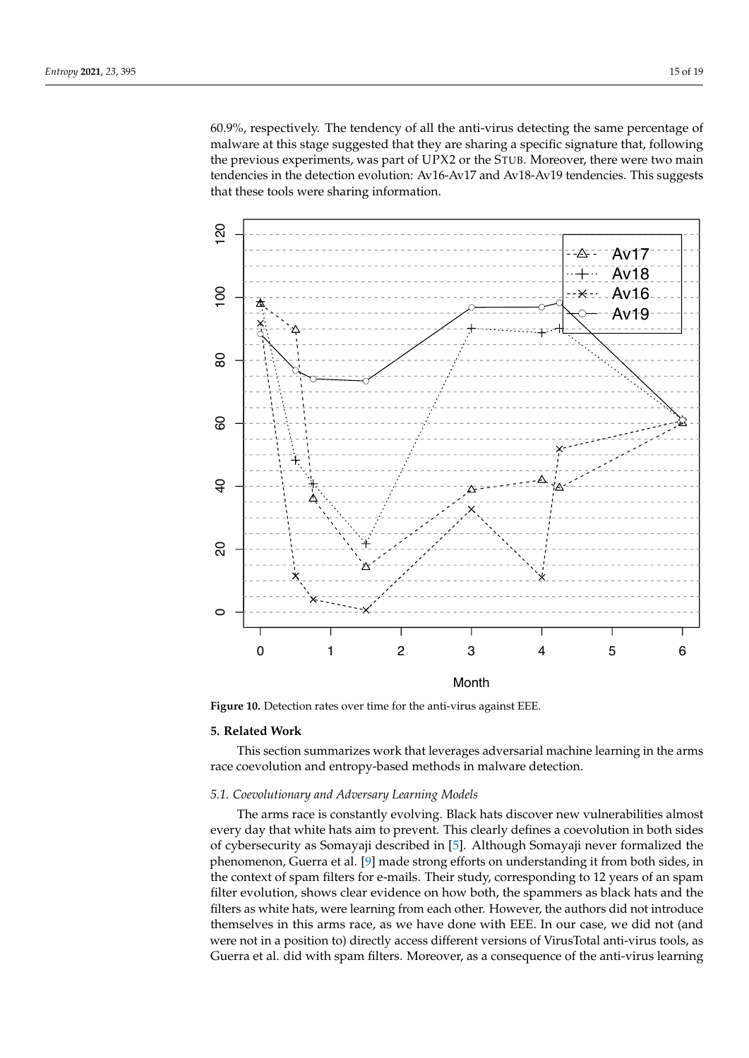60.9%, respectively. The tendency of all the anti-virus detecting the same percentage of malware at this stage suggested that they are sharing a specific signature that, following the previous experiments, was part of UPX2 or the STUB. Moreover, there were two main tendencies in the detection evolution: Av16-Av17 and Av18-Av19 tendencies. This suggests that these tools were sharing information.

<span id="page-14-0"></span>

**Figure 10.** Detection rates over time for the anti-virus against EEE.

## **5. Related Work**

This section summarizes work that leverages adversarial machine learning in the arms race coevolution and entropy-based methods in malware detection.

# *5.1. Coevolutionary and Adversary Learning Models*

The arms race is constantly evolving. Black hats discover new vulnerabilities almost every day that white hats aim to prevent. This clearly defines a coevolution in both sides of cybersecurity as Somayaji described in [\[5\]](#page-17-4). Although Somayaji never formalized the phenomenon, Guerra et al. [\[9\]](#page-17-8) made strong efforts on understanding it from both sides, in the context of spam filters for e-mails. Their study, corresponding to 12 years of an spam filter evolution, shows clear evidence on how both, the spammers as black hats and the filters as white hats, were learning from each other. However, the authors did not introduce themselves in this arms race, as we have done with EEE. In our case, we did not (and were not in a position to) directly access different versions of VirusTotal anti-virus tools, as Guerra et al. did with spam filters. Moreover, as a consequence of the anti-virus learning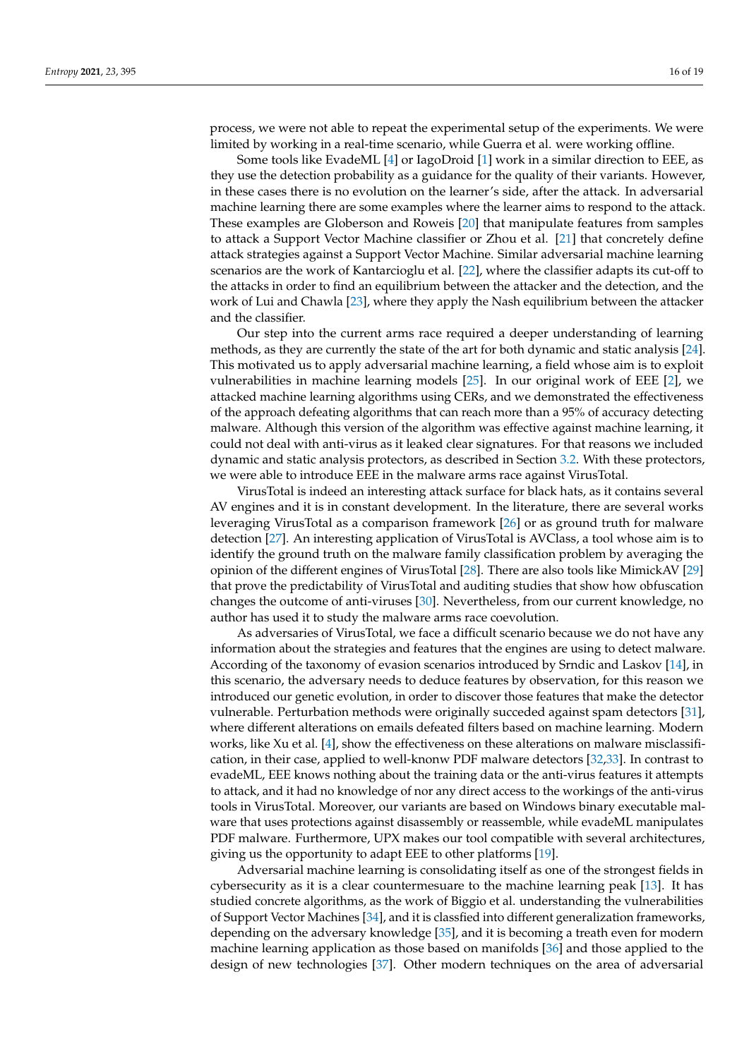process, we were not able to repeat the experimental setup of the experiments. We were limited by working in a real-time scenario, while Guerra et al. were working offline.

Some tools like EvadeML [\[4\]](#page-17-3) or IagoDroid [\[1\]](#page-17-0) work in a similar direction to EEE, as they use the detection probability as a guidance for the quality of their variants. However, in these cases there is no evolution on the learner's side, after the attack. In adversarial machine learning there are some examples where the learner aims to respond to the attack. These examples are Globerson and Roweis [\[20\]](#page-17-19) that manipulate features from samples to attack a Support Vector Machine classifier or Zhou et al. [\[21\]](#page-17-20) that concretely define attack strategies against a Support Vector Machine. Similar adversarial machine learning scenarios are the work of Kantarcioglu et al. [\[22\]](#page-17-21), where the classifier adapts its cut-off to the attacks in order to find an equilibrium between the attacker and the detection, and the work of Lui and Chawla [\[23\]](#page-17-22), where they apply the Nash equilibrium between the attacker and the classifier.

Our step into the current arms race required a deeper understanding of learning methods, as they are currently the state of the art for both dynamic and static analysis [\[24\]](#page-17-23). This motivated us to apply adversarial machine learning, a field whose aim is to exploit vulnerabilities in machine learning models [\[25\]](#page-17-24). In our original work of EEE [\[2\]](#page-17-1), we attacked machine learning algorithms using CERs, and we demonstrated the effectiveness of the approach defeating algorithms that can reach more than a 95% of accuracy detecting malware. Although this version of the algorithm was effective against machine learning, it could not deal with anti-virus as it leaked clear signatures. For that reasons we included dynamic and static analysis protectors, as described in Section [3.2.](#page-4-1) With these protectors, we were able to introduce EEE in the malware arms race against VirusTotal.

VirusTotal is indeed an interesting attack surface for black hats, as it contains several AV engines and it is in constant development. In the literature, there are several works leveraging VirusTotal as a comparison framework [\[26\]](#page-17-25) or as ground truth for malware detection [\[27\]](#page-17-26). An interesting application of VirusTotal is AVClass, a tool whose aim is to identify the ground truth on the malware family classification problem by averaging the opinion of the different engines of VirusTotal [\[28\]](#page-17-27). There are also tools like MimickAV [\[29\]](#page-17-28) that prove the predictability of VirusTotal and auditing studies that show how obfuscation changes the outcome of anti-viruses [\[30\]](#page-18-0). Nevertheless, from our current knowledge, no author has used it to study the malware arms race coevolution.

As adversaries of VirusTotal, we face a difficult scenario because we do not have any information about the strategies and features that the engines are using to detect malware. According of the taxonomy of evasion scenarios introduced by Srndic and Laskov [\[14\]](#page-17-13), in this scenario, the adversary needs to deduce features by observation, for this reason we introduced our genetic evolution, in order to discover those features that make the detector vulnerable. Perturbation methods were originally succeded against spam detectors [\[31\]](#page-18-1), where different alterations on emails defeated filters based on machine learning. Modern works, like Xu et al. [\[4\]](#page-17-3), show the effectiveness on these alterations on malware misclassification, in their case, applied to well-knonw PDF malware detectors [\[32,](#page-18-2)[33\]](#page-18-3). In contrast to evadeML, EEE knows nothing about the training data or the anti-virus features it attempts to attack, and it had no knowledge of nor any direct access to the workings of the anti-virus tools in VirusTotal. Moreover, our variants are based on Windows binary executable malware that uses protections against disassembly or reassemble, while evadeML manipulates PDF malware. Furthermore, UPX makes our tool compatible with several architectures, giving us the opportunity to adapt EEE to other platforms [\[19\]](#page-17-18).

Adversarial machine learning is consolidating itself as one of the strongest fields in cybersecurity as it is a clear countermesuare to the machine learning peak [\[13\]](#page-17-12). It has studied concrete algorithms, as the work of Biggio et al. understanding the vulnerabilities of Support Vector Machines [\[34\]](#page-18-4), and it is classfied into different generalization frameworks, depending on the adversary knowledge [\[35\]](#page-18-5), and it is becoming a treath even for modern machine learning application as those based on manifolds [\[36\]](#page-18-6) and those applied to the design of new technologies [\[37\]](#page-18-7). Other modern techniques on the area of adversarial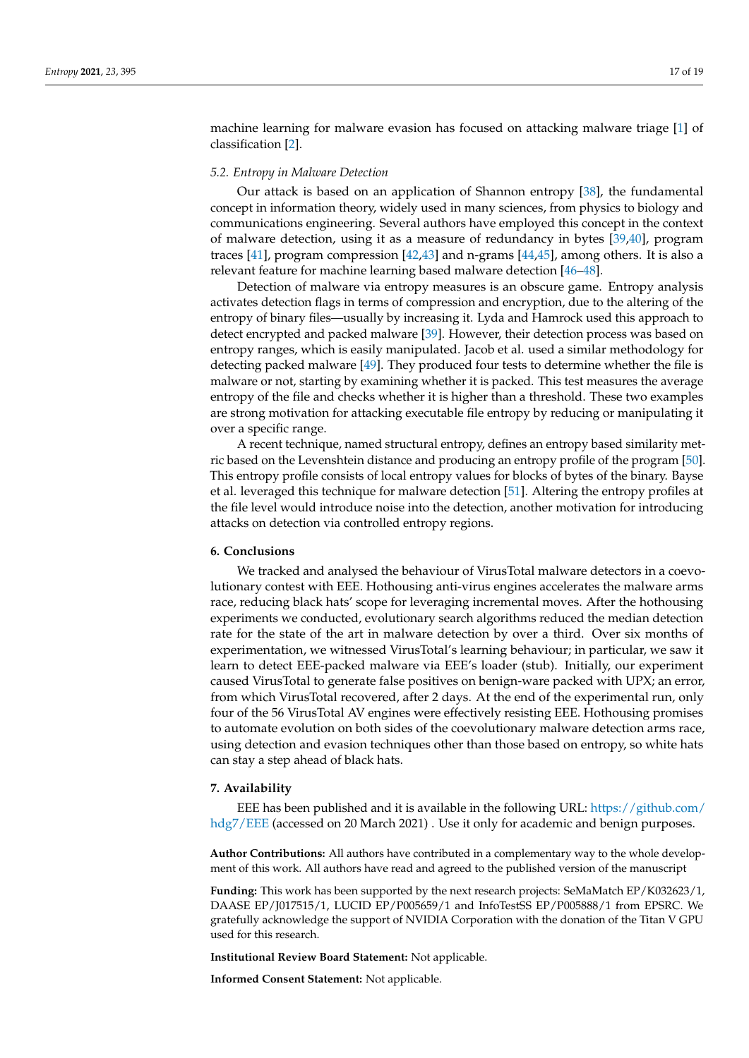machine learning for malware evasion has focused on attacking malware triage [\[1\]](#page-17-0) of classification [\[2\]](#page-17-1).

## *5.2. Entropy in Malware Detection*

Our attack is based on an application of Shannon entropy [\[38\]](#page-18-8), the fundamental concept in information theory, widely used in many sciences, from physics to biology and communications engineering. Several authors have employed this concept in the context of malware detection, using it as a measure of redundancy in bytes [\[39,](#page-18-9)[40\]](#page-18-10), program traces [\[41\]](#page-18-11), program compression [\[42,](#page-18-12)[43\]](#page-18-13) and n-grams [\[44](#page-18-14)[,45\]](#page-18-15), among others. It is also a relevant feature for machine learning based malware detection [\[46–](#page-18-16)[48\]](#page-18-17).

Detection of malware via entropy measures is an obscure game. Entropy analysis activates detection flags in terms of compression and encryption, due to the altering of the entropy of binary files—usually by increasing it. Lyda and Hamrock used this approach to detect encrypted and packed malware [\[39\]](#page-18-9). However, their detection process was based on entropy ranges, which is easily manipulated. Jacob et al. used a similar methodology for detecting packed malware [\[49\]](#page-18-18). They produced four tests to determine whether the file is malware or not, starting by examining whether it is packed. This test measures the average entropy of the file and checks whether it is higher than a threshold. These two examples are strong motivation for attacking executable file entropy by reducing or manipulating it over a specific range.

A recent technique, named structural entropy, defines an entropy based similarity metric based on the Levenshtein distance and producing an entropy profile of the program [\[50\]](#page-18-19). This entropy profile consists of local entropy values for blocks of bytes of the binary. Bayse et al. leveraged this technique for malware detection [\[51\]](#page-18-20). Altering the entropy profiles at the file level would introduce noise into the detection, another motivation for introducing attacks on detection via controlled entropy regions.

## **6. Conclusions**

We tracked and analysed the behaviour of VirusTotal malware detectors in a coevolutionary contest with EEE. Hothousing anti-virus engines accelerates the malware arms race, reducing black hats' scope for leveraging incremental moves. After the hothousing experiments we conducted, evolutionary search algorithms reduced the median detection rate for the state of the art in malware detection by over a third. Over six months of experimentation, we witnessed VirusTotal's learning behaviour; in particular, we saw it learn to detect EEE-packed malware via EEE's loader (stub). Initially, our experiment caused VirusTotal to generate false positives on benign-ware packed with UPX; an error, from which VirusTotal recovered, after 2 days. At the end of the experimental run, only four of the 56 VirusTotal AV engines were effectively resisting EEE. Hothousing promises to automate evolution on both sides of the coevolutionary malware detection arms race, using detection and evasion techniques other than those based on entropy, so white hats can stay a step ahead of black hats.

## **7. Availability**

EEE has been published and it is available in the following URL: [https://github.com/](https://github.com/hdg7/EEE) [hdg7/EEE](https://github.com/hdg7/EEE) (accessed on 20 March 2021). Use it only for academic and benign purposes.

**Author Contributions:** All authors have contributed in a complementary way to the whole development of this work. All authors have read and agreed to the published version of the manuscript

**Funding:** This work has been supported by the next research projects: SeMaMatch EP/K032623/1, DAASE EP/J017515/1, LUCID EP/P005659/1 and InfoTestSS EP/P005888/1 from EPSRC. We gratefully acknowledge the support of NVIDIA Corporation with the donation of the Titan V GPU used for this research.

**Institutional Review Board Statement:** Not applicable.

**Informed Consent Statement:** Not applicable.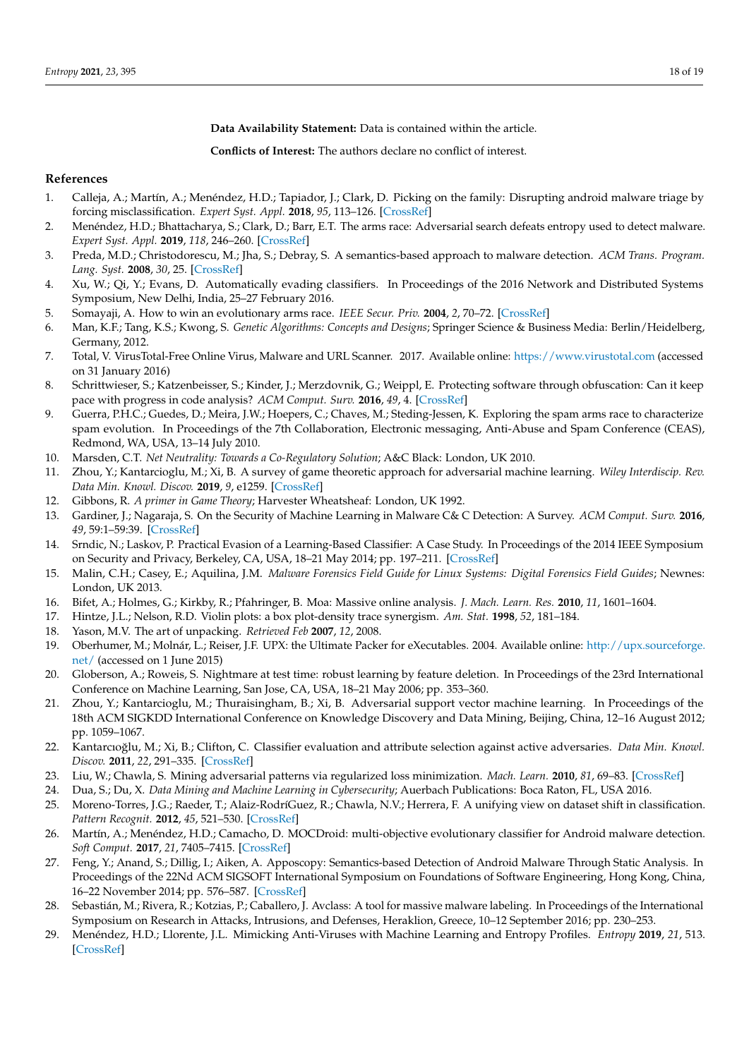**Data Availability Statement:** Data is contained within the article.

**Conflicts of Interest:** The authors declare no conflict of interest.

# **References**

- <span id="page-17-0"></span>1. Calleja, A.; Martín, A.; Menéndez, H.D.; Tapiador, J.; Clark, D. Picking on the family: Disrupting android malware triage by forcing misclassification. *Expert Syst. Appl.* **2018**, *95*, 113–126. [\[CrossRef\]](http://doi.org/10.1016/j.eswa.2017.11.032)
- <span id="page-17-1"></span>2. Menéndez, H.D.; Bhattacharya, S.; Clark, D.; Barr, E.T. The arms race: Adversarial search defeats entropy used to detect malware. *Expert Syst. Appl.* **2019**, *118*, 246–260. [\[CrossRef\]](http://dx.doi.org/10.1016/j.eswa.2018.10.011)
- <span id="page-17-2"></span>3. Preda, M.D.; Christodorescu, M.; Jha, S.; Debray, S. A semantics-based approach to malware detection. *ACM Trans. Program. Lang. Syst.* **2008**, *30*, 25. [\[CrossRef\]](http://dx.doi.org/10.1145/1387673.1387674)
- <span id="page-17-3"></span>4. Xu, W.; Qi, Y.; Evans, D. Automatically evading classifiers. In Proceedings of the 2016 Network and Distributed Systems Symposium, New Delhi, India, 25–27 February 2016.
- <span id="page-17-4"></span>5. Somayaji, A. How to win an evolutionary arms race. *IEEE Secur. Priv.* **2004**, *2*, 70–72. [\[CrossRef\]](http://dx.doi.org/10.1109/MSP.2004.100)
- <span id="page-17-5"></span>6. Man, K.F.; Tang, K.S.; Kwong, S. *Genetic Algorithms: Concepts and Designs*; Springer Science & Business Media: Berlin/Heidelberg, Germany, 2012.
- <span id="page-17-6"></span>7. Total, V. VirusTotal-Free Online Virus, Malware and URL Scanner. 2017. Available online: <https://www.virustotal.com> (accessed on 31 January 2016)
- <span id="page-17-7"></span>8. Schrittwieser, S.; Katzenbeisser, S.; Kinder, J.; Merzdovnik, G.; Weippl, E. Protecting software through obfuscation: Can it keep pace with progress in code analysis? *ACM Comput. Surv.* **2016**, *49*, 4. [\[CrossRef\]](http://dx.doi.org/10.1145/2886012)
- <span id="page-17-8"></span>9. Guerra, P.H.C.; Guedes, D.; Meira, J.W.; Hoepers, C.; Chaves, M.; Steding-Jessen, K. Exploring the spam arms race to characterize spam evolution. In Proceedings of the 7th Collaboration, Electronic messaging, Anti-Abuse and Spam Conference (CEAS), Redmond, WA, USA, 13–14 July 2010.
- <span id="page-17-9"></span>10. Marsden, C.T. *Net Neutrality: Towards a Co-Regulatory Solution*; A&C Black: London, UK 2010.
- <span id="page-17-10"></span>11. Zhou, Y.; Kantarcioglu, M.; Xi, B. A survey of game theoretic approach for adversarial machine learning. *Wiley Interdiscip. Rev. Data Min. Knowl. Discov.* **2019**, *9*, e1259. [\[CrossRef\]](http://dx.doi.org/10.1002/widm.1259)
- <span id="page-17-11"></span>12. Gibbons, R. *A primer in Game Theory*; Harvester Wheatsheaf: London, UK 1992.
- <span id="page-17-12"></span>13. Gardiner, J.; Nagaraja, S. On the Security of Machine Learning in Malware C& C Detection: A Survey. *ACM Comput. Surv.* **2016**, *49*, 59:1–59:39. [\[CrossRef\]](http://dx.doi.org/10.1145/3003816)
- <span id="page-17-13"></span>14. Srndic, N.; Laskov, P. Practical Evasion of a Learning-Based Classifier: A Case Study. In Proceedings of the 2014 IEEE Symposium on Security and Privacy, Berkeley, CA, USA, 18–21 May 2014; pp. 197–211. [\[CrossRef\]](http://dx.doi.org/10.1109/SP.2014.20)
- <span id="page-17-14"></span>15. Malin, C.H.; Casey, E.; Aquilina, J.M. *Malware Forensics Field Guide for Linux Systems: Digital Forensics Field Guides*; Newnes: London, UK 2013.
- <span id="page-17-15"></span>16. Bifet, A.; Holmes, G.; Kirkby, R.; Pfahringer, B. Moa: Massive online analysis. *J. Mach. Learn. Res.* **2010**, *11*, 1601–1604.
- <span id="page-17-16"></span>17. Hintze, J.L.; Nelson, R.D. Violin plots: a box plot-density trace synergism. *Am. Stat.* **1998**, *52*, 181–184.
- <span id="page-17-17"></span>18. Yason, M.V. The art of unpacking. *Retrieved Feb* **2007**, *12*, 2008.
- <span id="page-17-18"></span>19. Oberhumer, M.; Molnár, L.; Reiser, J.F. UPX: the Ultimate Packer for eXecutables. 2004. Available online: [http://upx.sourceforge.](http://upx. sourceforge.net/) [net/](http://upx. sourceforge.net/) (accessed on 1 June 2015)
- <span id="page-17-19"></span>20. Globerson, A.; Roweis, S. Nightmare at test time: robust learning by feature deletion. In Proceedings of the 23rd International Conference on Machine Learning, San Jose, CA, USA, 18–21 May 2006; pp. 353–360.
- <span id="page-17-20"></span>21. Zhou, Y.; Kantarcioglu, M.; Thuraisingham, B.; Xi, B. Adversarial support vector machine learning. In Proceedings of the 18th ACM SIGKDD International Conference on Knowledge Discovery and Data Mining, Beijing, China, 12–16 August 2012; pp. 1059–1067.
- <span id="page-17-21"></span>22. Kantarcıoğlu, M.; Xi, B.; Clifton, C. Classifier evaluation and attribute selection against active adversaries. *Data Min. Knowl. Discov.* **2011**, *22*, 291–335. [\[CrossRef\]](http://dx.doi.org/10.1007/s10618-010-0197-3)
- <span id="page-17-22"></span>23. Liu, W.; Chawla, S. Mining adversarial patterns via regularized loss minimization. *Mach. Learn.* **2010**, *81*, 69–83. [\[CrossRef\]](http://dx.doi.org/10.1007/s10994-010-5199-2)
- <span id="page-17-23"></span>24. Dua, S.; Du, X. *Data Mining and Machine Learning in Cybersecurity*; Auerbach Publications: Boca Raton, FL, USA 2016.
- <span id="page-17-24"></span>25. Moreno-Torres, J.G.; Raeder, T.; Alaiz-RodríGuez, R.; Chawla, N.V.; Herrera, F. A unifying view on dataset shift in classification. *Pattern Recognit.* **2012**, *45*, 521–530. [\[CrossRef\]](http://dx.doi.org/10.1016/j.patcog.2011.06.019)
- <span id="page-17-25"></span>26. Martín, A.; Menéndez, H.D.; Camacho, D. MOCDroid: multi-objective evolutionary classifier for Android malware detection. *Soft Comput.* **2017**, *21*, 7405–7415. [\[CrossRef\]](http://dx.doi.org/10.1007/s00500-016-2283-y)
- <span id="page-17-26"></span>27. Feng, Y.; Anand, S.; Dillig, I.; Aiken, A. Apposcopy: Semantics-based Detection of Android Malware Through Static Analysis. In Proceedings of the 22Nd ACM SIGSOFT International Symposium on Foundations of Software Engineering, Hong Kong, China, 16–22 November 2014; pp. 576–587. [\[CrossRef\]](http://dx.doi.org/10.1145/2635868.2635869)
- <span id="page-17-27"></span>28. Sebastián, M.; Rivera, R.; Kotzias, P.; Caballero, J. Avclass: A tool for massive malware labeling. In Proceedings of the International Symposium on Research in Attacks, Intrusions, and Defenses, Heraklion, Greece, 10–12 September 2016; pp. 230–253.
- <span id="page-17-28"></span>29. Menéndez, H.D.; Llorente, J.L. Mimicking Anti-Viruses with Machine Learning and Entropy Profiles. *Entropy* **2019**, *21*, 513. [\[CrossRef\]](http://dx.doi.org/10.3390/e21050513)